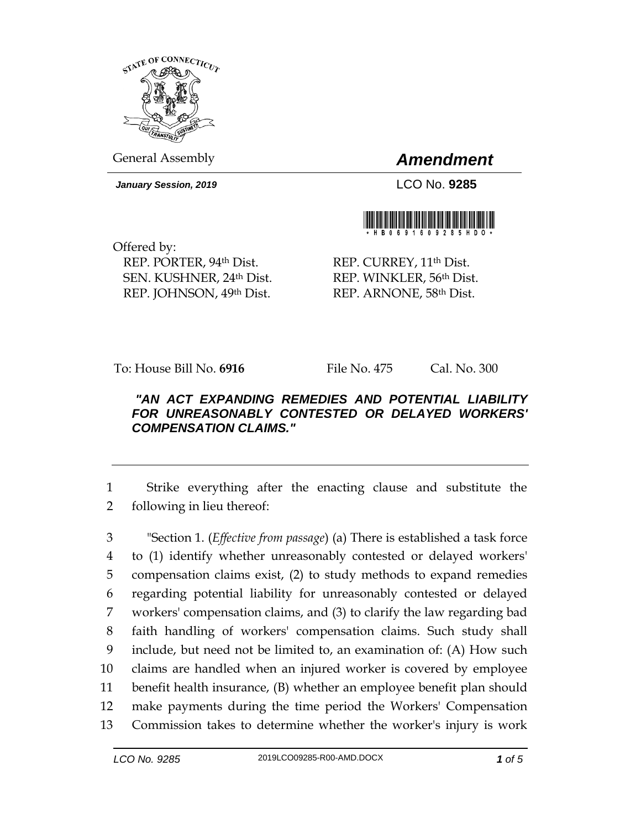

General Assembly *Amendment*

*January Session, 2019* LCO No. **9285**



Offered by: REP. PORTER, 94th Dist. SEN. KUSHNER, 24th Dist. REP. JOHNSON, 49th Dist.

REP. CURREY, 11<sup>th</sup> Dist. REP. WINKLER, 56th Dist. REP. ARNONE, 58th Dist.

To: House Bill No. **6916** File No. 475 Cal. No. 300

## *"AN ACT EXPANDING REMEDIES AND POTENTIAL LIABILITY FOR UNREASONABLY CONTESTED OR DELAYED WORKERS' COMPENSATION CLAIMS."*

1 Strike everything after the enacting clause and substitute the 2 following in lieu thereof:

 "Section 1. (*Effective from passage*) (a) There is established a task force to (1) identify whether unreasonably contested or delayed workers' compensation claims exist, (2) to study methods to expand remedies regarding potential liability for unreasonably contested or delayed workers' compensation claims, and (3) to clarify the law regarding bad faith handling of workers' compensation claims. Such study shall include, but need not be limited to, an examination of: (A) How such claims are handled when an injured worker is covered by employee benefit health insurance, (B) whether an employee benefit plan should make payments during the time period the Workers' Compensation Commission takes to determine whether the worker's injury is work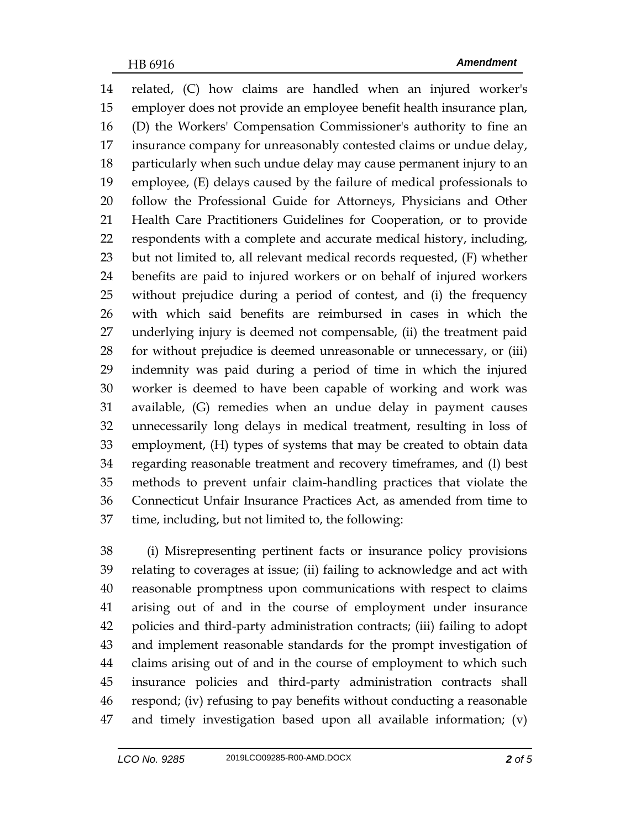related, (C) how claims are handled when an injured worker's employer does not provide an employee benefit health insurance plan, (D) the Workers' Compensation Commissioner's authority to fine an insurance company for unreasonably contested claims or undue delay, particularly when such undue delay may cause permanent injury to an employee, (E) delays caused by the failure of medical professionals to follow the Professional Guide for Attorneys, Physicians and Other Health Care Practitioners Guidelines for Cooperation, or to provide respondents with a complete and accurate medical history, including, but not limited to, all relevant medical records requested, (F) whether benefits are paid to injured workers or on behalf of injured workers without prejudice during a period of contest, and (i) the frequency with which said benefits are reimbursed in cases in which the underlying injury is deemed not compensable, (ii) the treatment paid for without prejudice is deemed unreasonable or unnecessary, or (iii) indemnity was paid during a period of time in which the injured worker is deemed to have been capable of working and work was available, (G) remedies when an undue delay in payment causes unnecessarily long delays in medical treatment, resulting in loss of employment, (H) types of systems that may be created to obtain data regarding reasonable treatment and recovery timeframes, and (I) best methods to prevent unfair claim-handling practices that violate the Connecticut Unfair Insurance Practices Act, as amended from time to time, including, but not limited to, the following:

 (i) Misrepresenting pertinent facts or insurance policy provisions relating to coverages at issue; (ii) failing to acknowledge and act with reasonable promptness upon communications with respect to claims arising out of and in the course of employment under insurance policies and third-party administration contracts; (iii) failing to adopt and implement reasonable standards for the prompt investigation of claims arising out of and in the course of employment to which such insurance policies and third-party administration contracts shall respond; (iv) refusing to pay benefits without conducting a reasonable and timely investigation based upon all available information; (v)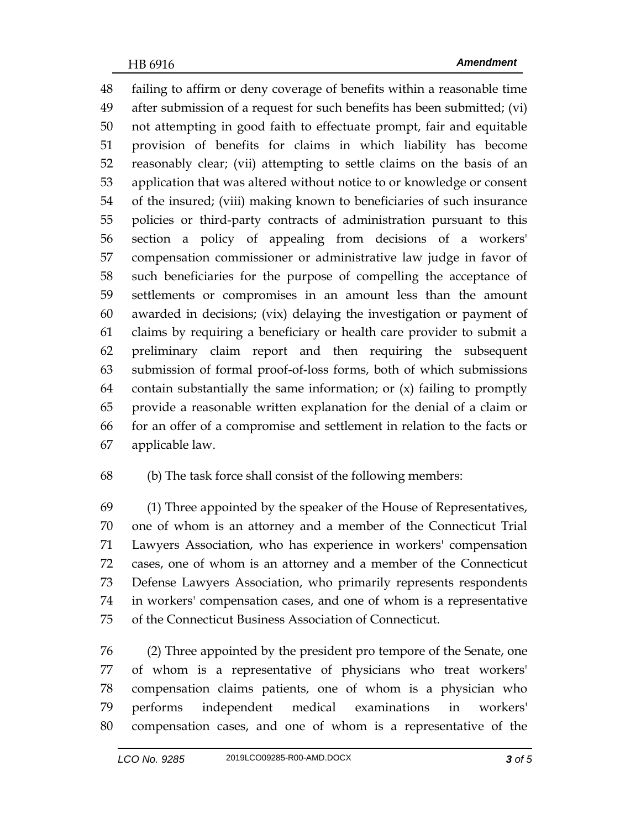failing to affirm or deny coverage of benefits within a reasonable time after submission of a request for such benefits has been submitted; (vi) not attempting in good faith to effectuate prompt, fair and equitable provision of benefits for claims in which liability has become reasonably clear; (vii) attempting to settle claims on the basis of an application that was altered without notice to or knowledge or consent of the insured; (viii) making known to beneficiaries of such insurance policies or third-party contracts of administration pursuant to this section a policy of appealing from decisions of a workers' compensation commissioner or administrative law judge in favor of such beneficiaries for the purpose of compelling the acceptance of settlements or compromises in an amount less than the amount awarded in decisions; (vix) delaying the investigation or payment of claims by requiring a beneficiary or health care provider to submit a preliminary claim report and then requiring the subsequent submission of formal proof-of-loss forms, both of which submissions 64 contain substantially the same information; or  $(x)$  failing to promptly provide a reasonable written explanation for the denial of a claim or for an offer of a compromise and settlement in relation to the facts or applicable law.

## (b) The task force shall consist of the following members:

 (1) Three appointed by the speaker of the House of Representatives, one of whom is an attorney and a member of the Connecticut Trial Lawyers Association, who has experience in workers' compensation cases, one of whom is an attorney and a member of the Connecticut Defense Lawyers Association, who primarily represents respondents in workers' compensation cases, and one of whom is a representative of the Connecticut Business Association of Connecticut.

 (2) Three appointed by the president pro tempore of the Senate, one of whom is a representative of physicians who treat workers' compensation claims patients, one of whom is a physician who performs independent medical examinations in workers' compensation cases, and one of whom is a representative of the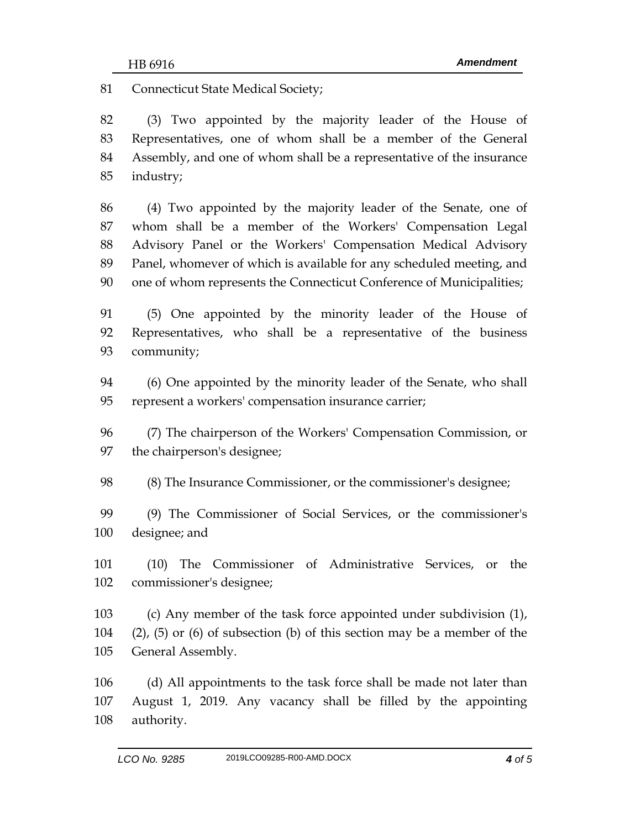81 Connecticut State Medical Society;

 (3) Two appointed by the majority leader of the House of Representatives, one of whom shall be a member of the General Assembly, and one of whom shall be a representative of the insurance industry;

 (4) Two appointed by the majority leader of the Senate, one of whom shall be a member of the Workers' Compensation Legal Advisory Panel or the Workers' Compensation Medical Advisory Panel, whomever of which is available for any scheduled meeting, and one of whom represents the Connecticut Conference of Municipalities;

 (5) One appointed by the minority leader of the House of Representatives, who shall be a representative of the business community;

 (6) One appointed by the minority leader of the Senate, who shall represent a workers' compensation insurance carrier;

 (7) The chairperson of the Workers' Compensation Commission, or the chairperson's designee;

(8) The Insurance Commissioner, or the commissioner's designee;

 (9) The Commissioner of Social Services, or the commissioner's designee; and

 (10) The Commissioner of Administrative Services, or the commissioner's designee;

 (c) Any member of the task force appointed under subdivision (1), (2), (5) or (6) of subsection (b) of this section may be a member of the General Assembly.

 (d) All appointments to the task force shall be made not later than August 1, 2019. Any vacancy shall be filled by the appointing authority.